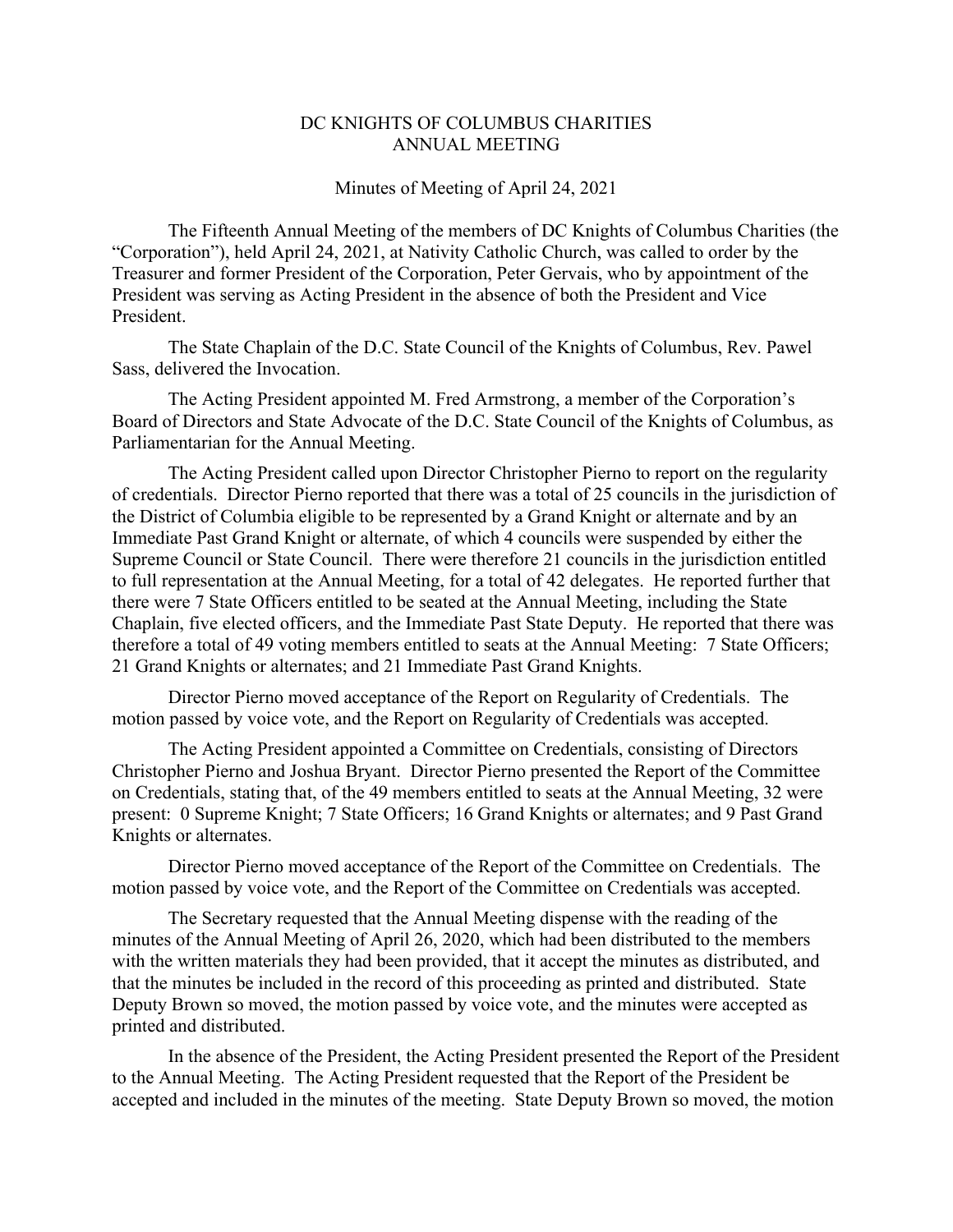## DC KNIGHTS OF COLUMBUS CHARITIES ANNUAL MEETING

## Minutes of Meeting of April 24, 2021

The Fifteenth Annual Meeting of the members of DC Knights of Columbus Charities (the "Corporation"), held April 24, 2021, at Nativity Catholic Church, was called to order by the Treasurer and former President of the Corporation, Peter Gervais, who by appointment of the President was serving as Acting President in the absence of both the President and Vice President.

The State Chaplain of the D.C. State Council of the Knights of Columbus, Rev. Pawel Sass, delivered the Invocation.

The Acting President appointed M. Fred Armstrong, a member of the Corporation's Board of Directors and State Advocate of the D.C. State Council of the Knights of Columbus, as Parliamentarian for the Annual Meeting.

The Acting President called upon Director Christopher Pierno to report on the regularity of credentials. Director Pierno reported that there was a total of 25 councils in the jurisdiction of the District of Columbia eligible to be represented by a Grand Knight or alternate and by an Immediate Past Grand Knight or alternate, of which 4 councils were suspended by either the Supreme Council or State Council. There were therefore 21 councils in the jurisdiction entitled to full representation at the Annual Meeting, for a total of 42 delegates. He reported further that there were 7 State Officers entitled to be seated at the Annual Meeting, including the State Chaplain, five elected officers, and the Immediate Past State Deputy. He reported that there was therefore a total of 49 voting members entitled to seats at the Annual Meeting: 7 State Officers; 21 Grand Knights or alternates; and 21 Immediate Past Grand Knights.

Director Pierno moved acceptance of the Report on Regularity of Credentials. The motion passed by voice vote, and the Report on Regularity of Credentials was accepted.

The Acting President appointed a Committee on Credentials, consisting of Directors Christopher Pierno and Joshua Bryant. Director Pierno presented the Report of the Committee on Credentials, stating that, of the 49 members entitled to seats at the Annual Meeting, 32 were present: 0 Supreme Knight; 7 State Officers; 16 Grand Knights or alternates; and 9 Past Grand Knights or alternates.

Director Pierno moved acceptance of the Report of the Committee on Credentials. The motion passed by voice vote, and the Report of the Committee on Credentials was accepted.

The Secretary requested that the Annual Meeting dispense with the reading of the minutes of the Annual Meeting of April 26, 2020, which had been distributed to the members with the written materials they had been provided, that it accept the minutes as distributed, and that the minutes be included in the record of this proceeding as printed and distributed. State Deputy Brown so moved, the motion passed by voice vote, and the minutes were accepted as printed and distributed.

In the absence of the President, the Acting President presented the Report of the President to the Annual Meeting. The Acting President requested that the Report of the President be accepted and included in the minutes of the meeting. State Deputy Brown so moved, the motion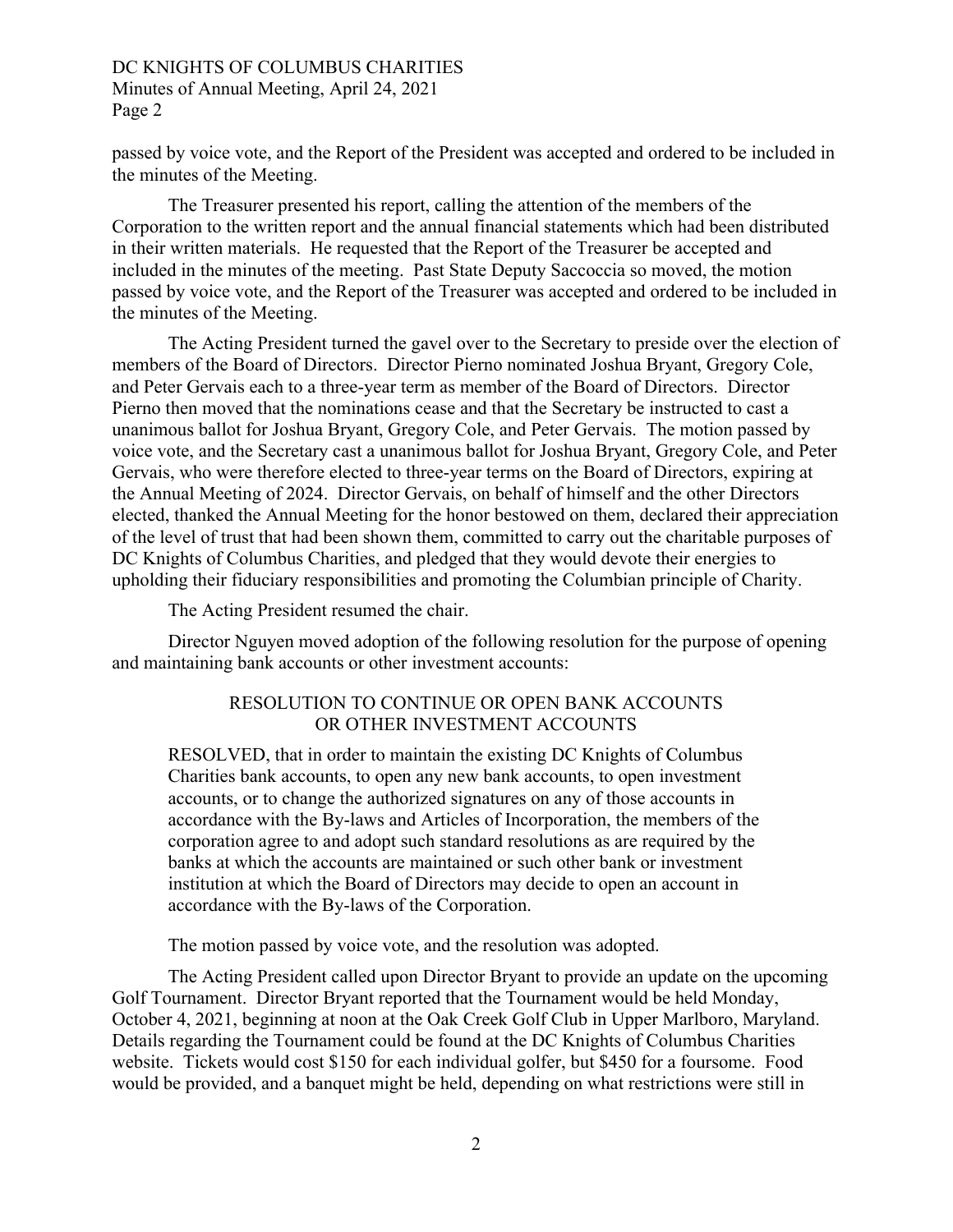## DC KNIGHTS OF COLUMBUS CHARITIES Minutes of Annual Meeting, April 24, 2021 Page 2

passed by voice vote, and the Report of the President was accepted and ordered to be included in the minutes of the Meeting.

The Treasurer presented his report, calling the attention of the members of the Corporation to the written report and the annual financial statements which had been distributed in their written materials. He requested that the Report of the Treasurer be accepted and included in the minutes of the meeting. Past State Deputy Saccoccia so moved, the motion passed by voice vote, and the Report of the Treasurer was accepted and ordered to be included in the minutes of the Meeting.

The Acting President turned the gavel over to the Secretary to preside over the election of members of the Board of Directors. Director Pierno nominated Joshua Bryant, Gregory Cole, and Peter Gervais each to a three-year term as member of the Board of Directors. Director Pierno then moved that the nominations cease and that the Secretary be instructed to cast a unanimous ballot for Joshua Bryant, Gregory Cole, and Peter Gervais. The motion passed by voice vote, and the Secretary cast a unanimous ballot for Joshua Bryant, Gregory Cole, and Peter Gervais, who were therefore elected to three-year terms on the Board of Directors, expiring at the Annual Meeting of 2024. Director Gervais, on behalf of himself and the other Directors elected, thanked the Annual Meeting for the honor bestowed on them, declared their appreciation of the level of trust that had been shown them, committed to carry out the charitable purposes of DC Knights of Columbus Charities, and pledged that they would devote their energies to upholding their fiduciary responsibilities and promoting the Columbian principle of Charity.

The Acting President resumed the chair.

Director Nguyen moved adoption of the following resolution for the purpose of opening and maintaining bank accounts or other investment accounts:

## RESOLUTION TO CONTINUE OR OPEN BANK ACCOUNTS OR OTHER INVESTMENT ACCOUNTS

RESOLVED, that in order to maintain the existing DC Knights of Columbus Charities bank accounts, to open any new bank accounts, to open investment accounts, or to change the authorized signatures on any of those accounts in accordance with the By-laws and Articles of Incorporation, the members of the corporation agree to and adopt such standard resolutions as are required by the banks at which the accounts are maintained or such other bank or investment institution at which the Board of Directors may decide to open an account in accordance with the By-laws of the Corporation.

The motion passed by voice vote, and the resolution was adopted.

The Acting President called upon Director Bryant to provide an update on the upcoming Golf Tournament. Director Bryant reported that the Tournament would be held Monday, October 4, 2021, beginning at noon at the Oak Creek Golf Club in Upper Marlboro, Maryland. Details regarding the Tournament could be found at the DC Knights of Columbus Charities website. Tickets would cost \$150 for each individual golfer, but \$450 for a foursome. Food would be provided, and a banquet might be held, depending on what restrictions were still in